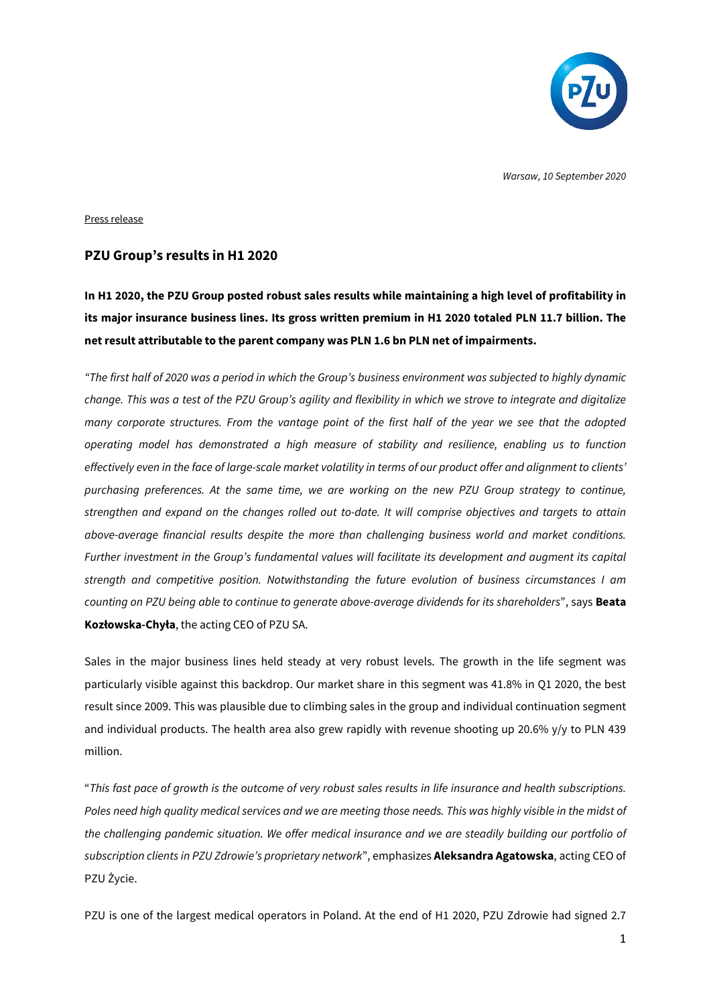

*Warsaw, 10 September 2020*

### Press release

## **PZU Group's results in H1 2020**

**In H1 2020, the PZU Group posted robust sales results while maintaining a high level of profitability in its major insurance business lines. Its gross written premium in H1 2020 totaled PLN 11.7 billion. The net result attributable to the parent company was PLN 1.6 bn PLN net of impairments.** 

*"The first half of 2020 was a period in which the Group's business environment was subjected to highly dynamic change. This was a test of the PZU Group's agility and flexibility in which we strove to integrate and digitalize many corporate structures. From the vantage point of the first half of the year we see that the adopted operating model has demonstrated a high measure of stability and resilience, enabling us to function effectively even in the face of large-scale market volatility in terms of our product offer and alignment to clients' purchasing preferences. At the same time, we are working on the new PZU Group strategy to continue, strengthen and expand on the changes rolled out to-date. It will comprise objectives and targets to attain above-average financial results despite the more than challenging business world and market conditions. Further investment in the Group's fundamental values will facilitate its development and augment its capital strength and competitive position. Notwithstanding the future evolution of business circumstances I am counting on PZU being able to continue to generate above-average dividends for its shareholders*", says **Beata Kozłowska-Chyła**, the acting CEO of PZU SA.

Sales in the major business lines held steady at very robust levels. The growth in the life segment was particularly visible against this backdrop. Our market share in this segment was 41.8% in Q1 2020, the best result since 2009. This was plausible due to climbing sales in the group and individual continuation segment and individual products. The health area also grew rapidly with revenue shooting up 20.6% y/y to PLN 439 million.

"*This fast pace of growth is the outcome of very robust sales results in life insurance and health subscriptions.*  Poles need high quality medical services and we are meeting those needs. This was highly visible in the midst of *the challenging pandemic situation. We offer medical insurance and we are steadily building our portfolio of subscription clients in PZU Zdrowie's proprietary network*", emphasizes **Aleksandra Agatowska**, acting CEO of PZU Życie.

PZU is one of the largest medical operators in Poland. At the end of H1 2020, PZU Zdrowie had signed 2.7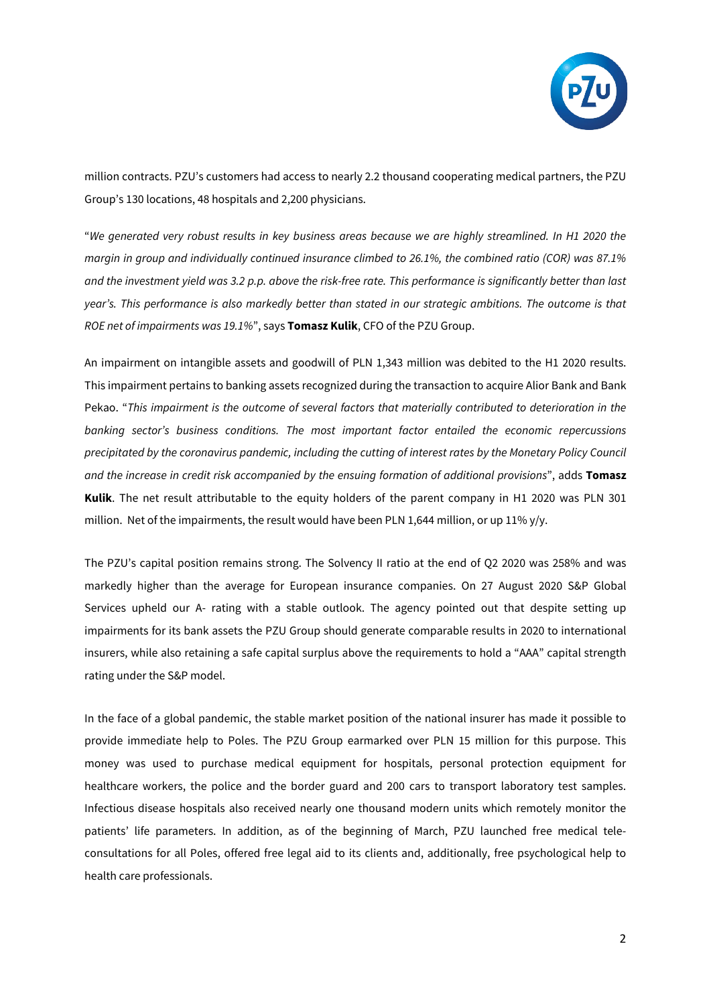

million contracts. PZU's customers had access to nearly 2.2 thousand cooperating medical partners, the PZU Group's 130 locations, 48 hospitals and 2,200 physicians.

"*We generated very robust results in key business areas because we are highly streamlined. In H1 2020 the margin in group and individually continued insurance climbed to 26.1%, the combined ratio (COR) was 87.1% and the investment yield was 3.2 p.p. above the risk-free rate. This performance is significantly better than last year's. This performance is also markedly better than stated in our strategic ambitions. The outcome is that ROE net of impairments was 19.1%*", says **Tomasz Kulik**, CFO of the PZU Group.

An impairment on intangible assets and goodwill of PLN 1,343 million was debited to the H1 2020 results. This impairment pertains to banking assets recognized during the transaction to acquire Alior Bank and Bank Pekao. "*This impairment is the outcome of several factors that materially contributed to deterioration in the banking sector's business conditions. The most important factor entailed the economic repercussions precipitated by the coronavirus pandemic, including the cutting of interest rates by the Monetary Policy Council and the increase in credit risk accompanied by the ensuing formation of additional provisions*", adds **Tomasz Kulik**. The net result attributable to the equity holders of the parent company in H1 2020 was PLN 301 million. Net of the impairments, the result would have been PLN 1,644 million, or up 11% y/y.

The PZU's capital position remains strong. The Solvency II ratio at the end of Q2 2020 was 258% and was markedly higher than the average for European insurance companies. On 27 August 2020 S&P Global Services upheld our A- rating with a stable outlook. The agency pointed out that despite setting up impairments for its bank assets the PZU Group should generate comparable results in 2020 to international insurers, while also retaining a safe capital surplus above the requirements to hold a "AAA" capital strength rating under the S&P model.

In the face of a global pandemic, the stable market position of the national insurer has made it possible to provide immediate help to Poles. The PZU Group earmarked over PLN 15 million for this purpose. This money was used to purchase medical equipment for hospitals, personal protection equipment for healthcare workers, the police and the border guard and 200 cars to transport laboratory test samples. Infectious disease hospitals also received nearly one thousand modern units which remotely monitor the patients' life parameters. In addition, as of the beginning of March, PZU launched free medical teleconsultations for all Poles, offered free legal aid to its clients and, additionally, free psychological help to health care professionals.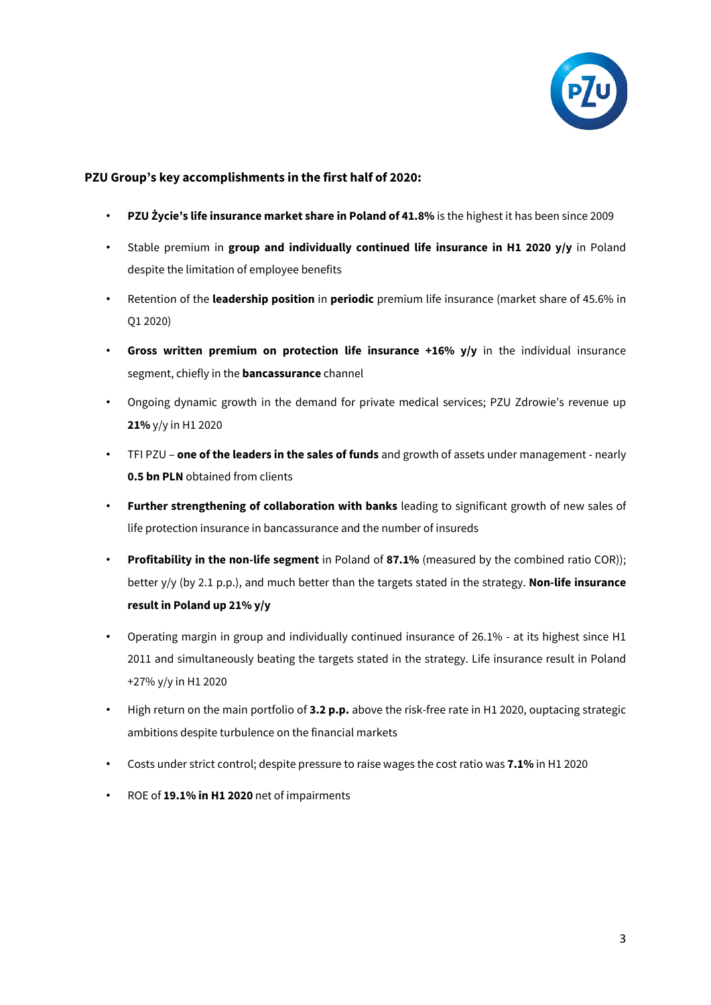

# **PZU Group's key accomplishments in the first half of 2020:**

- **PZU Życie's life insurance market share in Poland of 41.8%** is the highest it has been since 2009
- Stable premium in **group and individually continued life insurance in H1 2020 y/y** in Poland despite the limitation of employee benefits
- Retention of the **leadership position** in **periodic** premium life insurance (market share of 45.6% in Q1 2020)
- **Gross written premium on protection life insurance +16% y/y** in the individual insurance segment, chiefly in the **bancassurance** channel
- Ongoing dynamic growth in the demand for private medical services; PZU Zdrowie's revenue up **21%** y/y in H1 2020
- TFI PZU **one of the leaders in the sales of funds** and growth of assets under management nearly **0.5 bn PLN** obtained from clients
- **Further strengthening of collaboration with banks** leading to significant growth of new sales of life protection insurance in bancassurance and the number of insureds
- **Profitability in the non-life segment** in Poland of **87.1%** (measured by the combined ratio COR)); better y/y (by 2.1 p.p.), and much better than the targets stated in the strategy. **Non-life insurance result in Poland up 21% y/y**
- Operating margin in group and individually continued insurance of 26.1% at its highest since H1 2011 and simultaneously beating the targets stated in the strategy. Life insurance result in Poland +27% y/y in H1 2020
- High return on the main portfolio of **3.2 p.p.** above the risk-free rate in H1 2020, ouptacing strategic ambitions despite turbulence on the financial markets
- Costs under strict control; despite pressure to raise wages the cost ratio was **7.1%** in H1 2020
- ROE of **19.1% in H1 2020** net of impairments